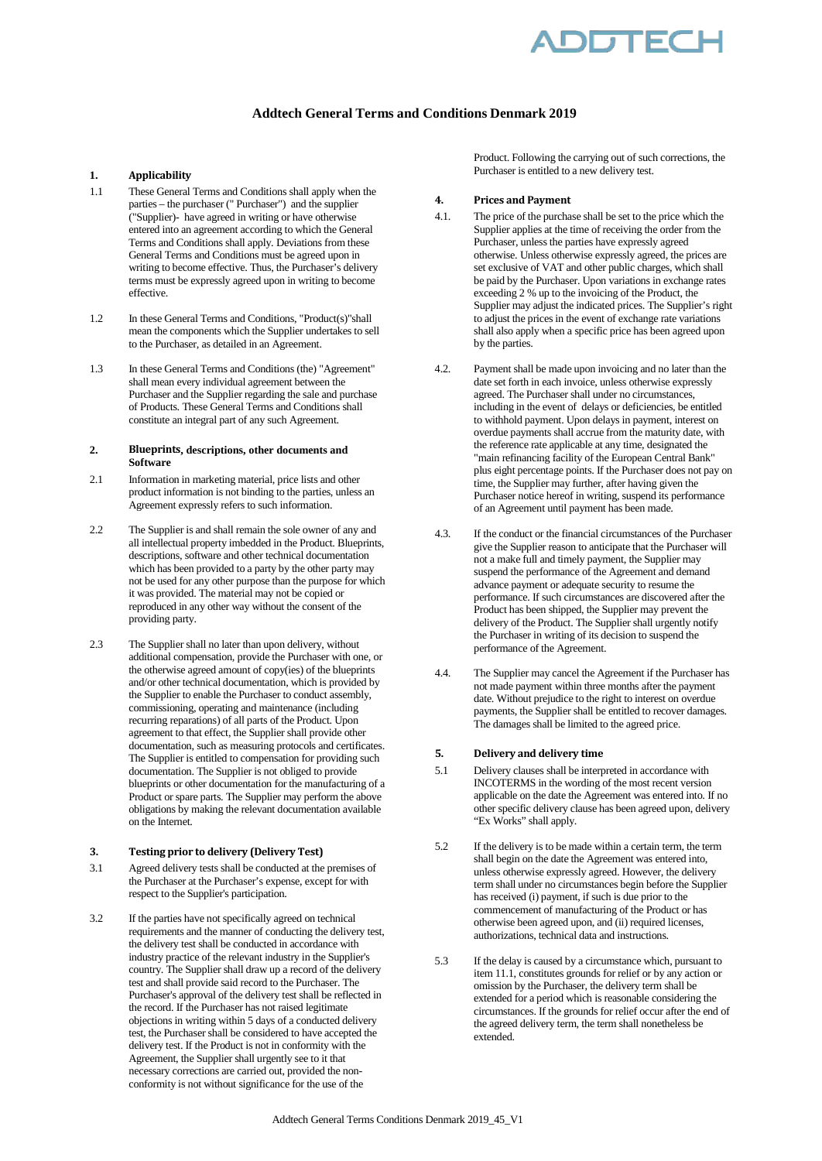

# **Addtech General Terms and Conditions Denmark 2019**

## **1. Applicability**

- 1.1 These General Terms and Conditions shall apply when the parties – the purchaser (" Purchaser") and the supplier ("Supplier)- have agreed in writing or have otherwise entered into an agreement according to which the General Terms and Conditions shall apply. Deviations from these General Terms and Conditions must be agreed upon in writing to become effective. Thus, the Purchaser's delivery terms must be expressly agreed upon in writing to become effective.
- 1.2 In these General Terms and Conditions, "Product(s)"shall mean the components which the Supplier undertakes to sell to the Purchaser, as detailed in an Agreement.
- 1.3 In these General Terms and Conditions (the) "Agreement" shall mean every individual agreement between the Purchaser and the Supplier regarding the sale and purchase of Products. These General Terms and Conditions shall constitute an integral part of any such Agreement.

#### **2. Blueprints, descriptions, other documents and Software**

- 2.1 Information in marketing material, price lists and other product information is not binding to the parties, unless an Agreement expressly refers to such information.
- 2.2 The Supplier is and shall remain the sole owner of any and all intellectual property imbedded in the Product. Blueprints, descriptions, software and other technical documentation which has been provided to a party by the other party may not be used for any other purpose than the purpose for which it was provided. The material may not be copied or reproduced in any other way without the consent of the providing party.
- 2.3 The Supplier shall no later than upon delivery, without additional compensation, provide the Purchaser with one, or the otherwise agreed amount of copy(ies) of the blueprints and/or other technical documentation, which is provided by the Supplier to enable the Purchaser to conduct assembly, commissioning, operating and maintenance (including recurring reparations) of all parts of the Product. Upon agreement to that effect, the Supplier shall provide other documentation, such as measuring protocols and certificates. The Supplier is entitled to compensation for providing such documentation. The Supplier is not obliged to provide blueprints or other documentation for the manufacturing of a Product or spare parts. The Supplier may perform the above obligations by making the relevant documentation available on the Internet.

### **3. Testing prior to delivery (Delivery Test)**

- 3.1 Agreed delivery tests shall be conducted at the premises of the Purchaser at the Purchaser's expense, except for with respect to the Supplier's participation.
- 3.2 If the parties have not specifically agreed on technical requirements and the manner of conducting the delivery test, the delivery test shall be conducted in accordance with industry practice of the relevant industry in the Supplier's country. The Supplier shall draw up a record of the delivery test and shall provide said record to the Purchaser. The Purchaser's approval of the delivery test shall be reflected in the record. If the Purchaser has not raised legitimate objections in writing within 5 days of a conducted delivery test, the Purchaser shall be considered to have accepted the delivery test. If the Product is not in conformity with the Agreement, the Supplier shall urgently see to it that necessary corrections are carried out, provided the nonconformity is not without significance for the use of the

Product. Following the carrying out of such corrections, the Purchaser is entitled to a new delivery test.

### **4. Prices and Payment**

- 4.1. The price of the purchase shall be set to the price which the Supplier applies at the time of receiving the order from the Purchaser, unless the parties have expressly agreed otherwise. Unless otherwise expressly agreed, the prices are set exclusive of VAT and other public charges, which shall be paid by the Purchaser. Upon variations in exchange rates exceeding 2 % up to the invoicing of the Product, the Supplier may adjust the indicated prices. The Supplier's right to adjust the prices in the event of exchange rate variations shall also apply when a specific price has been agreed upon by the parties.
- 4.2. Payment shall be made upon invoicing and no later than the date set forth in each invoice, unless otherwise expressly agreed. The Purchaser shall under no circumstances, including in the event of delays or deficiencies, be entitled to withhold payment. Upon delays in payment, interest on overdue payments shall accrue from the maturity date, with the reference rate applicable at any time, designated the "main refinancing facility of the European Central Bank" plus eight percentage points. If the Purchaser does not pay on time, the Supplier may further, after having given the Purchaser notice hereof in writing, suspend its performance of an Agreement until payment has been made.
- 4.3. If the conduct or the financial circumstances of the Purchaser give the Supplier reason to anticipate that the Purchaser will not a make full and timely payment, the Supplier may suspend the performance of the Agreement and demand advance payment or adequate security to resume the performance. If such circumstances are discovered after the Product has been shipped, the Supplier may prevent the delivery of the Product. The Supplier shall urgently notify the Purchaser in writing of its decision to suspend the performance of the Agreement.
- 4.4. The Supplier may cancel the Agreement if the Purchaser has not made payment within three months after the payment date. Without prejudice to the right to interest on overdue payments, the Supplier shall be entitled to recover damages. The damages shall be limited to the agreed price.

### **5. Delivery and delivery time**

- 5.1 Delivery clauses shall be interpreted in accordance with INCOTERMS in the wording of the most recent version applicable on the date the Agreement was entered into. If no other specific delivery clause has been agreed upon, delivery "Ex Works" shall apply.
- 5.2 If the delivery is to be made within a certain term, the term shall begin on the date the Agreement was entered into, unless otherwise expressly agreed. However, the delivery term shall under no circumstances begin before the Supplier has received (i) payment, if such is due prior to the commencement of manufacturing of the Product or has otherwise been agreed upon, and (ii) required licenses, authorizations, technical data and instructions.
- 5.3 If the delay is caused by a circumstance which, pursuant to item 11.1, constitutes grounds for relief or by any action or omission by the Purchaser, the delivery term shall be extended for a period which is reasonable considering the circumstances. If the grounds for relief occur after the end of the agreed delivery term, the term shall nonetheless be extended.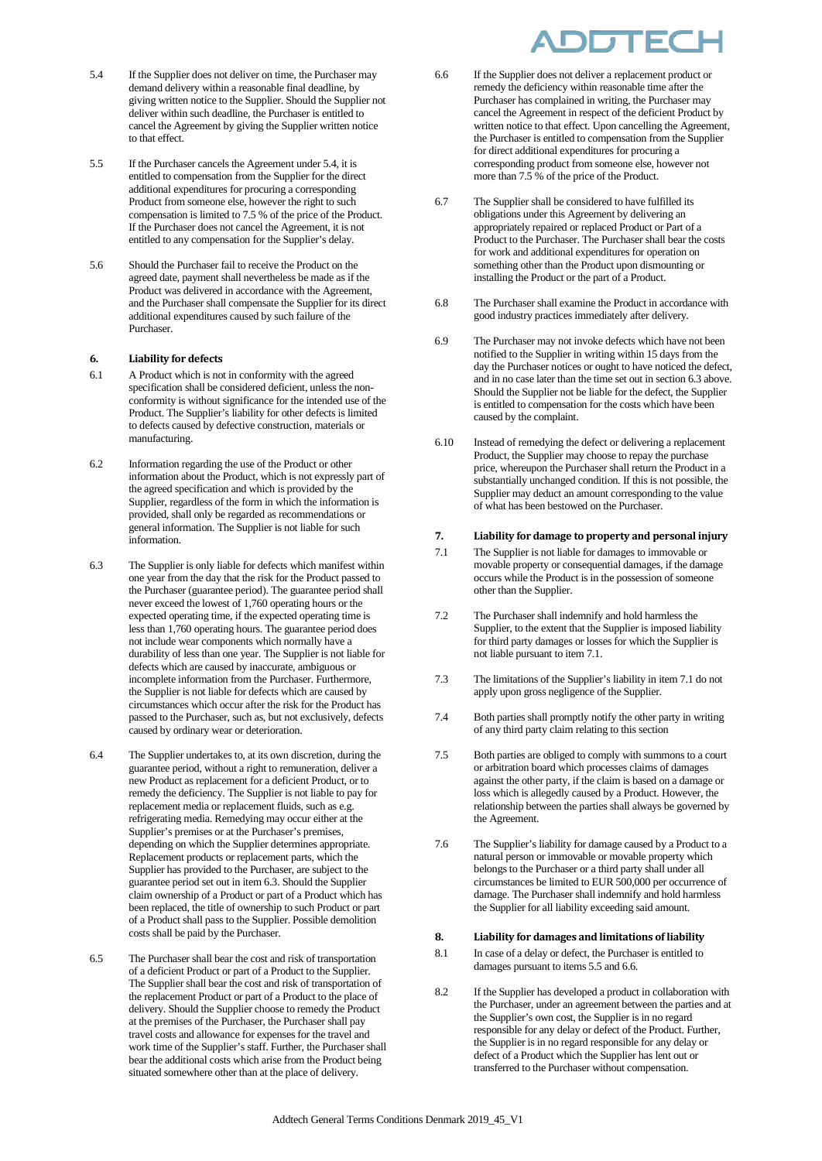- 5.4 If the Supplier does not deliver on time, the Purchaser may demand delivery within a reasonable final deadline, by giving written notice to the Supplier. Should the Supplier not deliver within such deadline, the Purchaser is entitled to cancel the Agreement by giving the Supplier written notice to that effect.
- 5.5 If the Purchaser cancels the Agreement under 5.4, it is entitled to compensation from the Supplier for the direct additional expenditures for procuring a corresponding Product from someone else, however the right to such compensation is limited to 7.5 % of the price of the Product. If the Purchaser does not cancel the Agreement, it is not entitled to any compensation for the Supplier's delay.
- 5.6 Should the Purchaser fail to receive the Product on the agreed date, payment shall nevertheless be made as if the Product was delivered in accordance with the Agreement, and the Purchaser shall compensate the Supplier for its direct additional expenditures caused by such failure of the Purchaser.

### **6. Liability for defects**

- 6.1 A Product which is not in conformity with the agreed specification shall be considered deficient, unless the nonconformity is without significance for the intended use of the Product. The Supplier's liability for other defects is limited to defects caused by defective construction, materials or manufacturing.
- 6.2 Information regarding the use of the Product or other information about the Product, which is not expressly part of the agreed specification and which is provided by the Supplier, regardless of the form in which the information is provided, shall only be regarded as recommendations or general information. The Supplier is not liable for such information.
- 6.3 The Supplier is only liable for defects which manifest within one year from the day that the risk for the Product passed to the Purchaser (guarantee period). The guarantee period shall never exceed the lowest of 1,760 operating hours or the expected operating time, if the expected operating time is less than 1,760 operating hours. The guarantee period does not include wear components which normally have a durability of less than one year. The Supplier is not liable for defects which are caused by inaccurate, ambiguous or incomplete information from the Purchaser. Furthermore, the Supplier is not liable for defects which are caused by circumstances which occur after the risk for the Product has passed to the Purchaser, such as, but not exclusively, defects caused by ordinary wear or deterioration.
- 6.4 The Supplier undertakes to, at its own discretion, during the guarantee period, without a right to remuneration, deliver a new Product as replacement for a deficient Product, or to remedy the deficiency. The Supplier is not liable to pay for replacement media or replacement fluids, such as e.g. refrigerating media. Remedying may occur either at the Supplier's premises or at the Purchaser's premises, depending on which the Supplier determines appropriate. Replacement products or replacement parts, which the Supplier has provided to the Purchaser, are subject to the guarantee period set out in item 6.3. Should the Supplier claim ownership of a Product or part of a Product which has been replaced, the title of ownership to such Product or part of a Product shall pass to the Supplier. Possible demolition costs shall be paid by the Purchaser.
- 6.5 The Purchaser shall bear the cost and risk of transportation of a deficient Product or part of a Product to the Supplier. The Supplier shall bear the cost and risk of transportation of the replacement Product or part of a Product to the place of delivery. Should the Supplier choose to remedy the Product at the premises of the Purchaser, the Purchaser shall pay travel costs and allowance for expenses for the travel and work time of the Supplier's staff. Further, the Purchaser shall bear the additional costs which arise from the Product being situated somewhere other than at the place of delivery.



- 6.6 If the Supplier does not deliver a replacement product or remedy the deficiency within reasonable time after the Purchaser has complained in writing, the Purchaser may cancel the Agreement in respect of the deficient Product by written notice to that effect. Upon cancelling the Agreement, the Purchaser is entitled to compensation from the Supplier for direct additional expenditures for procuring a corresponding product from someone else, however not more than 7.5 % of the price of the Product.
- 6.7 The Supplier shall be considered to have fulfilled its obligations under this Agreement by delivering an appropriately repaired or replaced Product or Part of a Product to the Purchaser. The Purchaser shall bear the costs for work and additional expenditures for operation on something other than the Product upon dismounting or installing the Product or the part of a Product.
- 6.8 The Purchaser shall examine the Product in accordance with good industry practices immediately after delivery.
- 6.9 The Purchaser may not invoke defects which have not been notified to the Supplier in writing within 15 days from the day the Purchaser notices or ought to have noticed the defect, and in no case later than the time set out in section 6.3 above. Should the Supplier not be liable for the defect, the Supplier is entitled to compensation for the costs which have been caused by the complaint.
- 6.10 Instead of remedying the defect or delivering a replacement Product, the Supplier may choose to repay the purchase price, whereupon the Purchaser shall return the Product in a substantially unchanged condition. If this is not possible, the Supplier may deduct an amount corresponding to the value of what has been bestowed on the Purchaser.

## **7. Liability for damage to property and personal injury**

- 7.1 The Supplier is not liable for damages to immovable or movable property or consequential damages, if the damage occurs while the Product is in the possession of someone other than the Supplier.
- 7.2 The Purchaser shall indemnify and hold harmless the Supplier, to the extent that the Supplier is imposed liability for third party damages or losses for which the Supplier is not liable pursuant to item 7.1.
- 7.3 The limitations of the Supplier's liability in item 7.1 do not apply upon gross negligence of the Supplier.
- 7.4 Both parties shall promptly notify the other party in writing of any third party claim relating to this section
- 7.5 Both parties are obliged to comply with summons to a court or arbitration board which processes claims of damages against the other party, if the claim is based on a damage or loss which is allegedly caused by a Product. However, the relationship between the parties shall always be governed by the Agreement.
- 7.6 The Supplier's liability for damage caused by a Product to a natural person or immovable or movable property which belongs to the Purchaser or a third party shall under all circumstances be limited to EUR 500,000 per occurrence of damage. The Purchaser shall indemnify and hold harmless the Supplier for all liability exceeding said amount.

#### **8. Liability for damages and limitations of liability**

- 8.1 In case of a delay or defect, the Purchaser is entitled to damages pursuant to items 5.5 and 6.6.
- 8.2 If the Supplier has developed a product in collaboration with the Purchaser, under an agreement between the parties and at the Supplier's own cost, the Supplier is in no regard responsible for any delay or defect of the Product. Further, the Supplier is in no regard responsible for any delay or defect of a Product which the Supplier has lent out or transferred to the Purchaser without compensation.